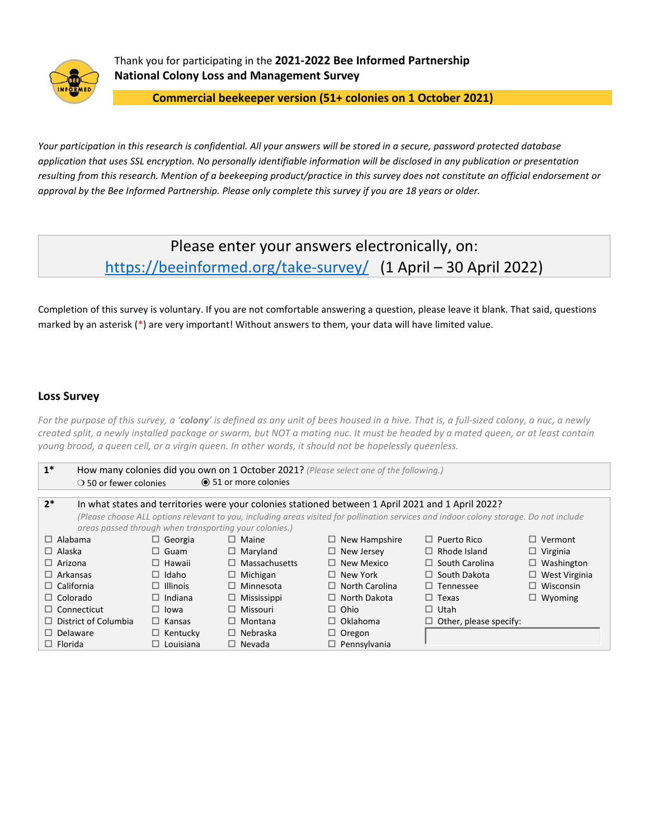

Thank you for participating in the **2021-2022 Bee Informed Partnership National Colony Loss and Management Survey**

**Commercial beekeeper version (51+ colonies on 1 October 2021)**

*Your participation in this research is confidential. All your answers will be stored in a secure, password protected database application that uses SSL encryption. No personally identifiable information will be disclosed in any publication or presentation resulting from this research. Mention of a beekeeping product/practice in this survey does not constitute an official endorsement or approval by the Bee Informed Partnership. Please only complete this survey if you are 18 years or older.*

# Please enter your answers electronically, on: <https://beeinformed.org/take-survey/>(1 April – 30 April 2022)

Completion of this survey is voluntary. If you are not comfortable answering a question, please leave it blank. That said, questions marked by an asterisk (\*) are very important! Without answers to them, your data will have limited value.

# **Loss Survey**

*For the purpose of this survey, a 'colony' is defined as any unit of bees housed in a hive. That is, a full-sized colony, a nuc, a newly created split, a newly installed package or swarm, but NOT a mating nuc. It must be headed by a mated queen, or at least contain young brood, a queen cell, or a virgin queen. In other words, it should not be hopelessly queenless.*

| $1^*$                                                  |                                                                                                                                        |                              | How many colonies did you own on 1 October 2021? (Please select one of the following.) |                               |                      |  |  |  |  |  |  |  |
|--------------------------------------------------------|----------------------------------------------------------------------------------------------------------------------------------------|------------------------------|----------------------------------------------------------------------------------------|-------------------------------|----------------------|--|--|--|--|--|--|--|
| $\bigcirc$ 50 or fewer colonies                        |                                                                                                                                        | <b>◎</b> 51 or more colonies |                                                                                        |                               |                      |  |  |  |  |  |  |  |
|                                                        |                                                                                                                                        |                              |                                                                                        |                               |                      |  |  |  |  |  |  |  |
|                                                        | $2^*$<br>In what states and territories were your colonies stationed between 1 April 2021 and 1 April 2022?                            |                              |                                                                                        |                               |                      |  |  |  |  |  |  |  |
|                                                        | (Please choose ALL options relevant to you, including areas visited for pollination services and indoor colony storage. Do not include |                              |                                                                                        |                               |                      |  |  |  |  |  |  |  |
| areas passed through when transporting your colonies.) |                                                                                                                                        |                              |                                                                                        |                               |                      |  |  |  |  |  |  |  |
| $\Box$ Alabama                                         | $\Box$ Georgia                                                                                                                         | $\Box$ Maine                 | $\Box$ New Hampshire                                                                   | $\Box$ Puerto Rico            | $\Box$ Vermont       |  |  |  |  |  |  |  |
| $\Box$ Alaska                                          | $\Box$ Guam                                                                                                                            | $\Box$ Maryland              | $\Box$ New Jersey                                                                      | $\Box$ Rhode Island           | $\Box$ Virginia      |  |  |  |  |  |  |  |
| $\Box$ Arizona                                         | $\Box$ Hawaii                                                                                                                          | $\Box$ Massachusetts         | $\Box$ New Mexico                                                                      | $\Box$ South Carolina         | $\Box$ Washington    |  |  |  |  |  |  |  |
| $\Box$ Arkansas                                        | $\Box$ Idaho                                                                                                                           | $\Box$ Michigan              | $\Box$ New York                                                                        | $\Box$ South Dakota           | $\Box$ West Virginia |  |  |  |  |  |  |  |
| $\Box$ California                                      | $\Box$ Illinois                                                                                                                        | $\Box$ Minnesota             | $\Box$ North Carolina                                                                  | $\Box$ Tennessee              | $\Box$ Wisconsin     |  |  |  |  |  |  |  |
| $\Box$ Colorado                                        | $\Box$ Indiana                                                                                                                         | $\Box$ Mississippi           | $\Box$ North Dakota                                                                    | $\Box$ Texas                  | $\Box$ Wyoming       |  |  |  |  |  |  |  |
| $\Box$ Connecticut                                     | $\Box$ lowa                                                                                                                            | $\Box$ Missouri              | $\Box$ Ohio                                                                            | $\Box$ Utah                   |                      |  |  |  |  |  |  |  |
| $\Box$ District of Columbia                            | $\Box$ Kansas                                                                                                                          | $\Box$ Montana               | $\Box$ Oklahoma                                                                        | $\Box$ Other, please specify: |                      |  |  |  |  |  |  |  |
| $\Box$ Delaware                                        | $\Box$ Kentucky                                                                                                                        | $\Box$ Nebraska              | $\Box$ Oregon                                                                          |                               |                      |  |  |  |  |  |  |  |
| $\Box$ Florida                                         | $\Box$ Louisiana                                                                                                                       | $\Box$ Nevada                | $\Box$ Pennsylvania                                                                    |                               |                      |  |  |  |  |  |  |  |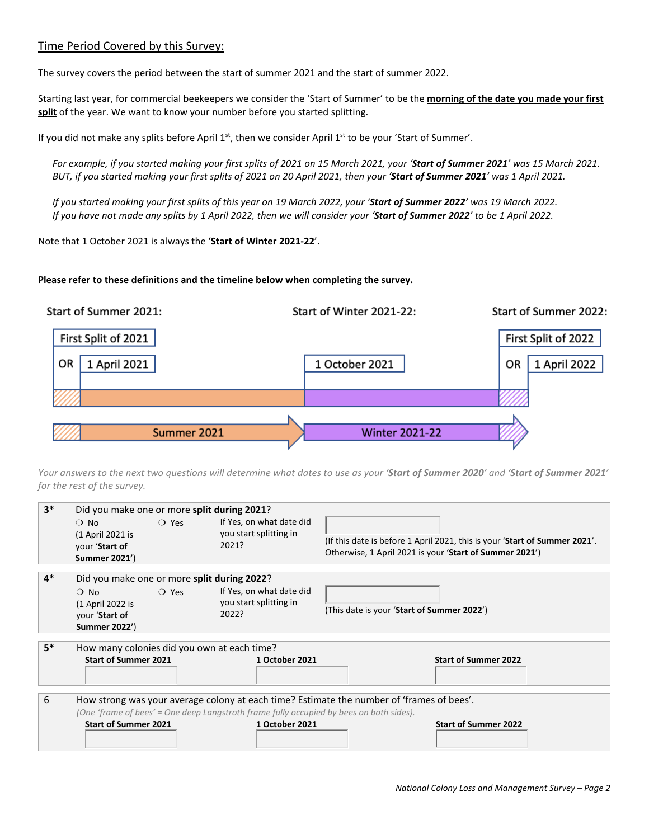## Time Period Covered by this Survey:

The survey covers the period between the start of summer 2021 and the start of summer 2022.

Starting last year, for commercial beekeepers we consider the 'Start of Summer' to be the **morning of the date you made your first split** of the year. We want to know your number before you started splitting.

If you did not make any splits before April 1<sup>st</sup>, then we consider April 1<sup>st</sup> to be your 'Start of Summer'.

*For example, if you started making your first splits of 2021 on 15 March 2021, your 'Start of Summer 2021' was 15 March 2021. BUT, if you started making your first splits of 2021 on 20 April 2021, then your 'Start of Summer 2021' was 1 April 2021.*

*If you started making your first splits of this year on 19 March 2022, your 'Start of Summer 2022' was 19 March 2022. If you have not made any splits by 1 April 2022, then we will consider your 'Start of Summer 2022' to be 1 April 2022.*

Note that 1 October 2021 is always the '**Start of Winter 2021-22**'.

#### **Please refer to these definitions and the timeline below when completing the survey.**



*Your answers to the next two questions will determine what dates to use as your 'Start of Summer 2020' and 'Start of Summer 2021' for the rest of the survey.*

| $3*$ | Did you make one or more split during 2021? |                |                                                                                         |                                                                                           |  |  |  |  |  |  |  |  |
|------|---------------------------------------------|----------------|-----------------------------------------------------------------------------------------|-------------------------------------------------------------------------------------------|--|--|--|--|--|--|--|--|
|      | $\bigcirc$ No                               | ○ Yes          | If Yes, on what date did                                                                |                                                                                           |  |  |  |  |  |  |  |  |
|      | (1 April 2021 is                            |                | you start splitting in                                                                  | (If this date is before 1 April 2021, this is your 'Start of Summer 2021'.                |  |  |  |  |  |  |  |  |
|      | your 'Start of                              |                | 2021?                                                                                   | Otherwise, 1 April 2021 is your 'Start of Summer 2021')                                   |  |  |  |  |  |  |  |  |
|      | Summer 2021')                               |                |                                                                                         |                                                                                           |  |  |  |  |  |  |  |  |
| $4*$ | Did you make one or more split during 2022? |                |                                                                                         |                                                                                           |  |  |  |  |  |  |  |  |
|      | $\bigcirc$ No                               | $\bigcirc$ Yes | If Yes, on what date did                                                                |                                                                                           |  |  |  |  |  |  |  |  |
|      | (1 April 2022 is                            |                | you start splitting in                                                                  | (This date is your 'Start of Summer 2022')                                                |  |  |  |  |  |  |  |  |
|      | your 'Start of                              |                | 2022?                                                                                   |                                                                                           |  |  |  |  |  |  |  |  |
|      | <b>Summer 2022')</b>                        |                |                                                                                         |                                                                                           |  |  |  |  |  |  |  |  |
| $5*$ |                                             |                | How many colonies did you own at each time?                                             |                                                                                           |  |  |  |  |  |  |  |  |
|      | <b>Start of Summer 2021</b>                 |                | 1 October 2021                                                                          | <b>Start of Summer 2022</b>                                                               |  |  |  |  |  |  |  |  |
|      |                                             |                |                                                                                         |                                                                                           |  |  |  |  |  |  |  |  |
|      |                                             |                |                                                                                         |                                                                                           |  |  |  |  |  |  |  |  |
| 6    |                                             |                |                                                                                         | How strong was your average colony at each time? Estimate the number of 'frames of bees'. |  |  |  |  |  |  |  |  |
|      |                                             |                | (One 'frame of bees' = One deep Langstroth frame fully occupied by bees on both sides). |                                                                                           |  |  |  |  |  |  |  |  |
|      | <b>Start of Summer 2021</b>                 |                | 1 October 2021                                                                          | <b>Start of Summer 2022</b>                                                               |  |  |  |  |  |  |  |  |
|      |                                             |                |                                                                                         |                                                                                           |  |  |  |  |  |  |  |  |
|      |                                             |                |                                                                                         |                                                                                           |  |  |  |  |  |  |  |  |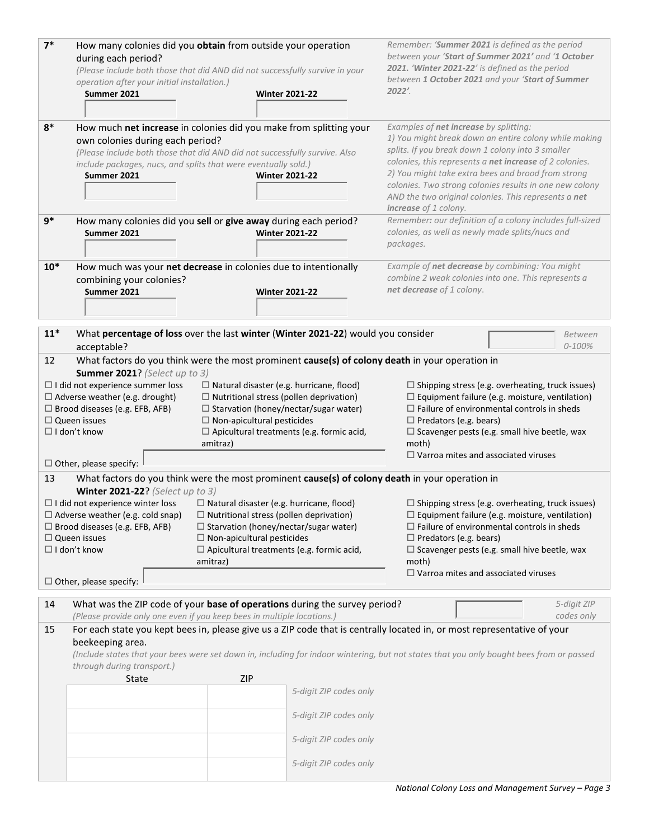| $7*$  |                                                                        | How many colonies did you obtain from outside your operation                                    | Remember: 'Summer 2021 is defined as the period                                                                                          |  |  |  |  |  |  |
|-------|------------------------------------------------------------------------|-------------------------------------------------------------------------------------------------|------------------------------------------------------------------------------------------------------------------------------------------|--|--|--|--|--|--|
|       | during each period?                                                    |                                                                                                 | between your 'Start of Summer 2021' and '1 October                                                                                       |  |  |  |  |  |  |
|       |                                                                        | (Please include both those that did AND did not successfully survive in your                    | 2021. 'Winter 2021-22' is defined as the period                                                                                          |  |  |  |  |  |  |
|       | operation after your initial installation.)                            |                                                                                                 | between 1 October 2021 and your 'Start of Summer                                                                                         |  |  |  |  |  |  |
|       | Summer 2021                                                            | <b>Winter 2021-22</b>                                                                           | 2022'.                                                                                                                                   |  |  |  |  |  |  |
|       |                                                                        |                                                                                                 |                                                                                                                                          |  |  |  |  |  |  |
|       |                                                                        |                                                                                                 |                                                                                                                                          |  |  |  |  |  |  |
| $8*$  |                                                                        | How much net increase in colonies did you make from splitting your                              | Examples of net increase by splitting:                                                                                                   |  |  |  |  |  |  |
|       | own colonies during each period?                                       |                                                                                                 | 1) You might break down an entire colony while making                                                                                    |  |  |  |  |  |  |
|       |                                                                        | (Please include both those that did AND did not successfully survive. Also                      | splits. If you break down 1 colony into 3 smaller<br>colonies, this represents a net increase of 2 colonies.                             |  |  |  |  |  |  |
|       | include packages, nucs, and splits that were eventually sold.)         |                                                                                                 | 2) You might take extra bees and brood from strong                                                                                       |  |  |  |  |  |  |
|       | Summer 2021                                                            | <b>Winter 2021-22</b>                                                                           | colonies. Two strong colonies results in one new colony                                                                                  |  |  |  |  |  |  |
|       |                                                                        |                                                                                                 | AND the two original colonies. This represents a net                                                                                     |  |  |  |  |  |  |
|       |                                                                        |                                                                                                 | increase of 1 colony.                                                                                                                    |  |  |  |  |  |  |
| $9*$  |                                                                        | How many colonies did you sell or give away during each period?                                 | Remember: our definition of a colony includes full-sized                                                                                 |  |  |  |  |  |  |
|       | Summer 2021                                                            | <b>Winter 2021-22</b>                                                                           | colonies, as well as newly made splits/nucs and                                                                                          |  |  |  |  |  |  |
|       |                                                                        |                                                                                                 | packages.                                                                                                                                |  |  |  |  |  |  |
|       |                                                                        |                                                                                                 |                                                                                                                                          |  |  |  |  |  |  |
| $10*$ |                                                                        | How much was your net decrease in colonies due to intentionally                                 | Example of net decrease by combining: You might                                                                                          |  |  |  |  |  |  |
|       | combining your colonies?                                               |                                                                                                 | combine 2 weak colonies into one. This represents a                                                                                      |  |  |  |  |  |  |
|       | Summer 2021                                                            | <b>Winter 2021-22</b>                                                                           | net decrease of 1 colony.                                                                                                                |  |  |  |  |  |  |
|       |                                                                        |                                                                                                 |                                                                                                                                          |  |  |  |  |  |  |
|       |                                                                        |                                                                                                 |                                                                                                                                          |  |  |  |  |  |  |
| $11*$ |                                                                        | What percentage of loss over the last winter (Winter 2021-22) would you consider                | Between                                                                                                                                  |  |  |  |  |  |  |
|       | acceptable?                                                            |                                                                                                 | $0 - 100%$                                                                                                                               |  |  |  |  |  |  |
| 12    |                                                                        | What factors do you think were the most prominent cause(s) of colony death in your operation in |                                                                                                                                          |  |  |  |  |  |  |
|       | Summer 2021? (Select up to 3)                                          |                                                                                                 |                                                                                                                                          |  |  |  |  |  |  |
|       | $\Box$ I did not experience summer loss                                | $\Box$ Natural disaster (e.g. hurricane, flood)                                                 | $\Box$ Shipping stress (e.g. overheating, truck issues)                                                                                  |  |  |  |  |  |  |
|       | $\Box$ Adverse weather (e.g. drought)                                  | $\Box$ Nutritional stress (pollen deprivation)                                                  | $\Box$ Equipment failure (e.g. moisture, ventilation)                                                                                    |  |  |  |  |  |  |
|       | $\Box$ Brood diseases (e.g. EFB, AFB)                                  | $\Box$ Starvation (honey/nectar/sugar water)                                                    | $\Box$ Failure of environmental controls in sheds                                                                                        |  |  |  |  |  |  |
|       | $\Box$ Queen issues                                                    | $\Box$ Non-apicultural pesticides                                                               | $\Box$ Predators (e.g. bears)                                                                                                            |  |  |  |  |  |  |
|       | $\Box$ I don't know                                                    | $\Box$ Apicultural treatments (e.g. formic acid,                                                | $\Box$ Scavenger pests (e.g. small hive beetle, wax                                                                                      |  |  |  |  |  |  |
|       |                                                                        | amitraz)                                                                                        | moth)                                                                                                                                    |  |  |  |  |  |  |
|       | $\Box$ Other, please specify:                                          |                                                                                                 | $\Box$ Varroa mites and associated viruses                                                                                               |  |  |  |  |  |  |
| 13    |                                                                        | What factors do you think were the most prominent cause(s) of colony death in your operation in |                                                                                                                                          |  |  |  |  |  |  |
|       | Winter 2021-22? (Select up to 3)                                       |                                                                                                 |                                                                                                                                          |  |  |  |  |  |  |
|       | $\Box$ I did not experience winter loss                                | $\Box$ Natural disaster (e.g. hurricane, flood)                                                 | $\Box$ Shipping stress (e.g. overheating, truck issues)                                                                                  |  |  |  |  |  |  |
|       |                                                                        | $\Box$ Adverse weather (e.g. cold snap) $\Box$ Nutritional stress (pollen deprivation)          | $\Box$ Equipment failure (e.g. moisture, ventilation)                                                                                    |  |  |  |  |  |  |
|       | $\Box$ Brood diseases (e.g. EFB, AFB)                                  | □ Starvation (honey/nectar/sugar water)                                                         | $\Box$ Failure of environmental controls in sheds                                                                                        |  |  |  |  |  |  |
|       | $\Box$ Queen issues                                                    | $\Box$ Non-apicultural pesticides                                                               | $\Box$ Predators (e.g. bears)                                                                                                            |  |  |  |  |  |  |
|       | $\Box$ I don't know                                                    | $\Box$ Apicultural treatments (e.g. formic acid,                                                | $\Box$ Scavenger pests (e.g. small hive beetle, wax                                                                                      |  |  |  |  |  |  |
|       |                                                                        | amitraz)                                                                                        | moth)                                                                                                                                    |  |  |  |  |  |  |
|       |                                                                        |                                                                                                 | $\Box$ Varroa mites and associated viruses                                                                                               |  |  |  |  |  |  |
|       | $\Box$ Other, please specify:                                          |                                                                                                 |                                                                                                                                          |  |  |  |  |  |  |
| 14    |                                                                        | What was the ZIP code of your base of operations during the survey period?                      | 5-digit ZIP                                                                                                                              |  |  |  |  |  |  |
|       | (Please provide only one even if you keep bees in multiple locations.) |                                                                                                 | codes only                                                                                                                               |  |  |  |  |  |  |
| 15    |                                                                        |                                                                                                 | For each state you kept bees in, please give us a ZIP code that is centrally located in, or most representative of your                  |  |  |  |  |  |  |
|       | beekeeping area.                                                       |                                                                                                 |                                                                                                                                          |  |  |  |  |  |  |
|       |                                                                        |                                                                                                 | (Include states that your bees were set down in, including for indoor wintering, but not states that you only bought bees from or passed |  |  |  |  |  |  |
|       | through during transport.)                                             |                                                                                                 |                                                                                                                                          |  |  |  |  |  |  |
|       | <b>State</b>                                                           | <b>ZIP</b>                                                                                      |                                                                                                                                          |  |  |  |  |  |  |
|       |                                                                        | 5-digit ZIP codes only                                                                          |                                                                                                                                          |  |  |  |  |  |  |
|       |                                                                        |                                                                                                 |                                                                                                                                          |  |  |  |  |  |  |
|       |                                                                        | 5-digit ZIP codes only                                                                          |                                                                                                                                          |  |  |  |  |  |  |
|       |                                                                        |                                                                                                 |                                                                                                                                          |  |  |  |  |  |  |
|       |                                                                        | 5-digit ZIP codes only                                                                          |                                                                                                                                          |  |  |  |  |  |  |
|       |                                                                        |                                                                                                 |                                                                                                                                          |  |  |  |  |  |  |
|       |                                                                        | 5-digit ZIP codes only                                                                          |                                                                                                                                          |  |  |  |  |  |  |
|       |                                                                        |                                                                                                 |                                                                                                                                          |  |  |  |  |  |  |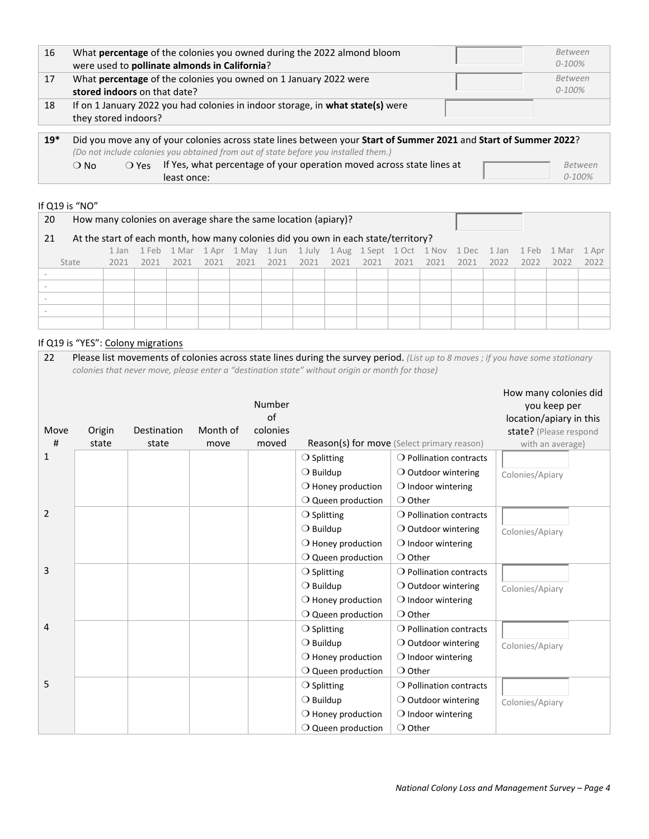| 16    | What percentage of the colonies you owned during the 2022 almond bloom<br>were used to pollinate almonds in California?                                                                                 | Between<br>$0 - 100%$  |
|-------|---------------------------------------------------------------------------------------------------------------------------------------------------------------------------------------------------------|------------------------|
| 17    | What percentage of the colonies you owned on 1 January 2022 were<br>stored indoors on that date?                                                                                                        | Between<br>$0 - 100\%$ |
| 18    | If on 1 January 2022 you had colonies in indoor storage, in what state(s) were<br>they stored indoors?                                                                                                  |                        |
| $19*$ | Did you move any of your colonies across state lines between your Start of Summer 2021 and Start of Summer 2022?<br>(Do not include colonies you obtained from out of state before you installed them.) |                        |

O No  $O$  Yes If Yes, what percentage of your operation moved across state lines at least once:

*Between 0-100%*

#### If Q19 is "NO"

| 20                                                                                       | How many colonies on average share the same location (apiary)? |      |      |      |      |      |      |  |                                                                                             |  |      |  |           |      |      |       |
|------------------------------------------------------------------------------------------|----------------------------------------------------------------|------|------|------|------|------|------|--|---------------------------------------------------------------------------------------------|--|------|--|-----------|------|------|-------|
| At the start of each month, how many colonies did you own in each state/territory?<br>21 |                                                                |      |      |      |      |      |      |  |                                                                                             |  |      |  |           |      |      |       |
|                                                                                          |                                                                |      |      |      |      |      |      |  | 1 Jan 1 Feb 1 Mar 1 Apr 1 May 1 Jun 1 July 1 Aug 1 Sept 1 Oct 1 Nov 1 Dec 1 Jan 1 Feb 1 Mar |  |      |  |           |      |      | 1 Apr |
| State                                                                                    | 2021                                                           | 2021 | 2021 | 2021 | 2021 | 2021 | 2021 |  | 2021 2021 2021                                                                              |  | 2021 |  | 2021 2022 | 2022 | 2022 | 2022  |
|                                                                                          |                                                                |      |      |      |      |      |      |  |                                                                                             |  |      |  |           |      |      |       |
|                                                                                          |                                                                |      |      |      |      |      |      |  |                                                                                             |  |      |  |           |      |      |       |
|                                                                                          |                                                                |      |      |      |      |      |      |  |                                                                                             |  |      |  |           |      |      |       |
|                                                                                          |                                                                |      |      |      |      |      |      |  |                                                                                             |  |      |  |           |      |      |       |
|                                                                                          |                                                                |      |      |      |      |      |      |  |                                                                                             |  |      |  |           |      |      |       |

# If Q19 is "YES": Colony migrations

| 22        |                 |                      |                  |                                   | colonies that never move, please enter a "destination state" without origin or month for those) | Please list movements of colonies across state lines during the survey period. (List up to 8 moves; if you have some stationary |                                                                                                                |
|-----------|-----------------|----------------------|------------------|-----------------------------------|-------------------------------------------------------------------------------------------------|---------------------------------------------------------------------------------------------------------------------------------|----------------------------------------------------------------------------------------------------------------|
| Move<br># | Origin<br>state | Destination<br>state | Month of<br>move | Number<br>of<br>colonies<br>moved |                                                                                                 | Reason(s) for move (Select primary reason)                                                                                      | How many colonies did<br>you keep per<br>location/apiary in this<br>state? (Please respond<br>with an average) |
| 1         |                 |                      |                  |                                   | $\bigcirc$ Pollination contracts<br>$\bigcirc$ Splitting                                        |                                                                                                                                 |                                                                                                                |
|           |                 |                      |                  |                                   | $\bigcirc$ Buildup                                                                              | $\bigcirc$ Outdoor wintering                                                                                                    | Colonies/Apiary                                                                                                |
|           |                 |                      |                  |                                   | $\bigcirc$ Honey production                                                                     | $\bigcirc$ Indoor wintering                                                                                                     |                                                                                                                |
|           |                 |                      |                  |                                   | $\bigcirc$ Queen production                                                                     | $\bigcirc$ Other                                                                                                                |                                                                                                                |
| 2         |                 |                      |                  |                                   | $\bigcirc$ Splitting                                                                            | $\bigcirc$ Pollination contracts                                                                                                |                                                                                                                |
|           |                 |                      |                  |                                   | $\bigcirc$ Buildup                                                                              | $\bigcirc$ Outdoor wintering                                                                                                    | Colonies/Apiary                                                                                                |
|           |                 |                      |                  |                                   | $\bigcirc$ Honey production                                                                     | $\bigcirc$ Indoor wintering                                                                                                     |                                                                                                                |
|           |                 |                      |                  |                                   | $\bigcirc$ Queen production                                                                     | $\bigcirc$ Other                                                                                                                |                                                                                                                |
| 3         |                 |                      |                  |                                   | $\bigcirc$ Splitting                                                                            | $\bigcirc$ Pollination contracts                                                                                                |                                                                                                                |
|           |                 |                      |                  |                                   | $\bigcirc$ Buildup                                                                              | $\bigcirc$ Outdoor wintering                                                                                                    | Colonies/Apiary                                                                                                |
|           |                 |                      |                  |                                   | $\bigcirc$ Honey production                                                                     | $\bigcirc$ Indoor wintering                                                                                                     |                                                                                                                |
|           |                 |                      |                  |                                   | $\bigcirc$ Queen production                                                                     | $\bigcirc$ Other                                                                                                                |                                                                                                                |
| 4         |                 |                      |                  |                                   | $\bigcirc$ Splitting                                                                            | $\bigcirc$ Pollination contracts                                                                                                |                                                                                                                |
|           |                 |                      |                  |                                   | $\bigcirc$ Buildup                                                                              | $\bigcirc$ Outdoor wintering                                                                                                    | Colonies/Apiary                                                                                                |
|           |                 |                      |                  |                                   | $\bigcirc$ Honey production                                                                     | $\bigcirc$ Indoor wintering                                                                                                     |                                                                                                                |
|           |                 |                      |                  |                                   | $\bigcirc$ Queen production                                                                     | $\bigcirc$ Other                                                                                                                |                                                                                                                |
| 5         |                 |                      |                  |                                   | $\bigcirc$ Splitting                                                                            | $\bigcirc$ Pollination contracts                                                                                                |                                                                                                                |
|           |                 |                      |                  |                                   | $\bigcirc$ Buildup                                                                              | $\bigcirc$ Outdoor wintering                                                                                                    | Colonies/Apiary                                                                                                |
|           |                 |                      |                  |                                   | $\bigcirc$ Honey production                                                                     | $\bigcirc$ Indoor wintering                                                                                                     |                                                                                                                |
|           |                 |                      |                  |                                   | $\bigcirc$ Queen production                                                                     | $\bigcirc$ Other                                                                                                                |                                                                                                                |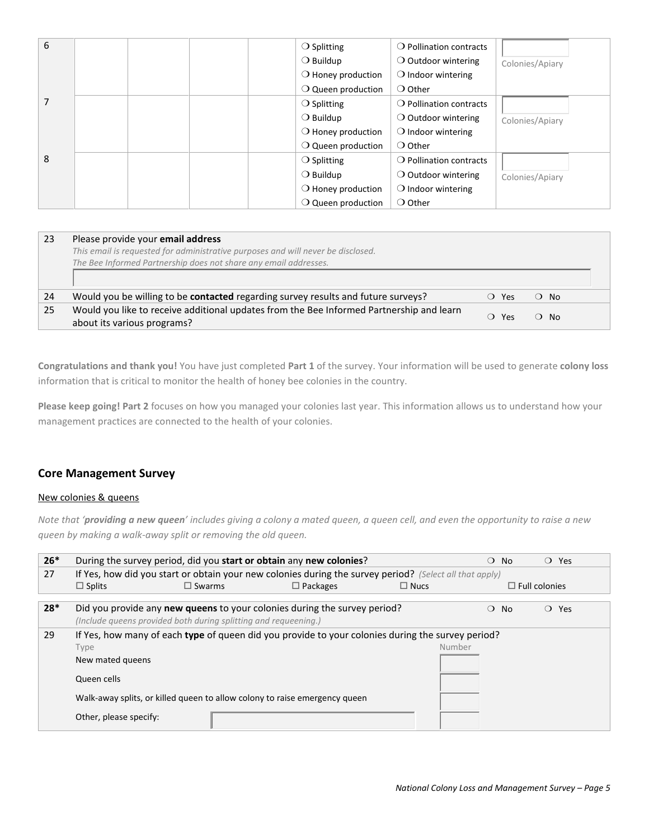| 6 |  | $\bigcirc$ Splitting        | $\bigcirc$ Pollination contracts |                 |
|---|--|-----------------------------|----------------------------------|-----------------|
|   |  | $\bigcirc$ Buildup          | $\bigcirc$ Outdoor wintering     | Colonies/Apiary |
|   |  | $\bigcirc$ Honey production | $\bigcirc$ Indoor wintering      |                 |
|   |  | $\bigcirc$ Queen production | $\bigcirc$ Other                 |                 |
|   |  | $\bigcirc$ Splitting        | $\bigcirc$ Pollination contracts |                 |
|   |  | $\bigcirc$ Buildup          | $\bigcirc$ Outdoor wintering     | Colonies/Apiary |
|   |  | $\bigcirc$ Honey production | $\bigcirc$ Indoor wintering      |                 |
|   |  | $\bigcirc$ Queen production | $\bigcirc$ Other                 |                 |
| 8 |  | $\bigcirc$ Splitting        | $\bigcirc$ Pollination contracts |                 |
|   |  | $\bigcirc$ Buildup          | $\bigcirc$ Outdoor wintering     | Colonies/Apiary |
|   |  | $\bigcirc$ Honey production | $\bigcirc$ Indoor wintering      |                 |
|   |  | $\bigcirc$ Queen production | $\bigcirc$ Other                 |                 |

| 23 | Please provide your email address                                                                                       |       |              |  |
|----|-------------------------------------------------------------------------------------------------------------------------|-------|--------------|--|
|    | This email is requested for administrative purposes and will never be disclosed.                                        |       |              |  |
|    | The Bee Informed Partnership does not share any email addresses.                                                        |       |              |  |
|    |                                                                                                                         |       |              |  |
| 24 | Would you be willing to be <b>contacted</b> regarding survey results and future surveys?                                | ○ Yes | $\Omega$ No. |  |
| 25 | Would you like to receive additional updates from the Bee Informed Partnership and learn<br>about its various programs? | O Yes | $\Omega$ No. |  |

**Congratulations and thank you!** You have just completed **Part 1** of the survey. Your information will be used to generate **colony loss** information that is critical to monitor the health of honey bee colonies in the country.

**Please keep going! Part 2** focuses on how you managed your colonies last year. This information allows us to understand how your management practices are connected to the health of your colonies.

# **Core Management Survey**

### New colonies & queens

*Note that 'providing a new queen' includes giving a colony a mated queen, a queen cell, and even the opportunity to raise a new queen by making a walk-away split or removing the old queen.* 

| $26*$ | During the survey period, did you start or obtain any new colonies?                                                                                 |                  |                 |                                                                                                         | $\bigcirc$ No   | $\bigcirc$ Yes       |  |  |  |  |  |
|-------|-----------------------------------------------------------------------------------------------------------------------------------------------------|------------------|-----------------|---------------------------------------------------------------------------------------------------------|-----------------|----------------------|--|--|--|--|--|
| 27    |                                                                                                                                                     |                  |                 | If Yes, how did you start or obtain your new colonies during the survey period? (Select all that apply) |                 |                      |  |  |  |  |  |
|       | $\Box$ Splits                                                                                                                                       | $\square$ Swarms | $\Box$ Packages | $\Box$ Nucs                                                                                             |                 | $\Box$ Full colonies |  |  |  |  |  |
| $28*$ | Did you provide any <b>new queens</b> to your colonies during the survey period?<br>(Include queens provided both during splitting and requeening.) |                  |                 |                                                                                                         | $\Omega$<br>No. | $\bigcirc$ Yes       |  |  |  |  |  |
| 29    | If Yes, how many of each type of queen did you provide to your colonies during the survey period?                                                   |                  |                 |                                                                                                         |                 |                      |  |  |  |  |  |
|       | Type                                                                                                                                                | Number           |                 |                                                                                                         |                 |                      |  |  |  |  |  |
|       | New mated queens                                                                                                                                    |                  |                 |                                                                                                         |                 |                      |  |  |  |  |  |
|       | Queen cells                                                                                                                                         |                  |                 |                                                                                                         |                 |                      |  |  |  |  |  |
|       | Walk-away splits, or killed queen to allow colony to raise emergency queen                                                                          |                  |                 |                                                                                                         |                 |                      |  |  |  |  |  |
|       | Other, please specify:                                                                                                                              |                  |                 |                                                                                                         |                 |                      |  |  |  |  |  |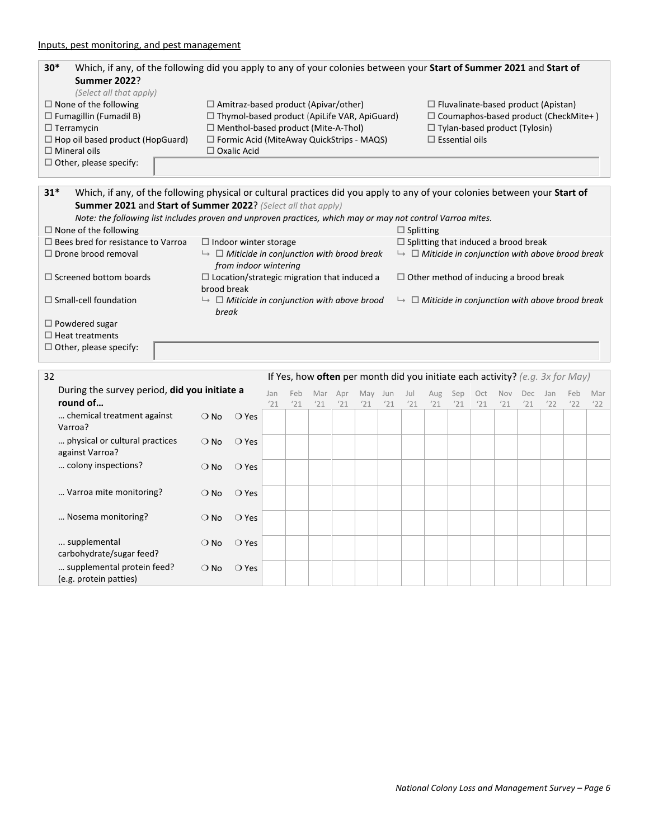| $30*$               | Which, if any, of the following did you apply to any of your colonies between your Start of Summer 2021 and Start of |                                                     |                                             |  |  |  |  |  |  |  |  |  |
|---------------------|----------------------------------------------------------------------------------------------------------------------|-----------------------------------------------------|---------------------------------------------|--|--|--|--|--|--|--|--|--|
|                     | <b>Summer 2022?</b>                                                                                                  |                                                     |                                             |  |  |  |  |  |  |  |  |  |
|                     | (Select all that apply)                                                                                              |                                                     |                                             |  |  |  |  |  |  |  |  |  |
|                     | $\Box$ None of the following                                                                                         | $\Box$ Amitraz-based product (Apivar/other)         | $\Box$ Fluvalinate-based product (Apistan)  |  |  |  |  |  |  |  |  |  |
|                     | $\Box$ Fumagillin (Fumadil B)                                                                                        | $\Box$ Thymol-based product (ApiLife VAR, ApiGuard) | $\Box$ Coumaphos-based product (CheckMite+) |  |  |  |  |  |  |  |  |  |
| $\Box$ Terramycin   |                                                                                                                      | $\Box$ Menthol-based product (Mite-A-Thol)          | $\Box$ Tylan-based product (Tylosin)        |  |  |  |  |  |  |  |  |  |
|                     | $\Box$ Hop oil based product (HopGuard)                                                                              | $\Box$ Formic Acid (MiteAway QuickStrips - MAQS)    | $\Box$ Essential oils                       |  |  |  |  |  |  |  |  |  |
| $\Box$ Mineral oils |                                                                                                                      | $\Box$ Oxalic Acid                                  |                                             |  |  |  |  |  |  |  |  |  |
|                     | $\Box$ Other, please specify:                                                                                        |                                                     |                                             |  |  |  |  |  |  |  |  |  |

| $31*$                                     |                                                                                                             | Which, if any, of the following physical or cultural practices did you apply to any of your colonies between your Start of |
|-------------------------------------------|-------------------------------------------------------------------------------------------------------------|----------------------------------------------------------------------------------------------------------------------------|
|                                           | <b>Summer 2021 and Start of Summer 2022?</b> (Select all that apply)                                        |                                                                                                                            |
|                                           | Note: the following list includes proven and unproven practices, which may or may not control Varroa mites. |                                                                                                                            |
| $\Box$ None of the following              |                                                                                                             | $\Box$ Splitting                                                                                                           |
| $\Box$ Bees bred for resistance to Varroa | $\Box$ Indoor winter storage                                                                                | $\Box$ Splitting that induced a brood break                                                                                |
| $\Box$ Drone brood removal                | $\mapsto$ $\Box$ Miticide in conjunction with brood break<br>from indoor wintering                          | $\;\;\vdash\;\;\square$ Miticide in conjunction with above brood break                                                     |
| $\Box$ Screened bottom boards             | $\Box$ Location/strategic migration that induced a<br>brood break                                           | $\Box$ Other method of inducing a brood break                                                                              |
| $\Box$ Small-cell foundation              | $\mapsto$ $\Box$ Miticide in conjunction with above brood<br>break                                          | $\;\;\vdash\;\;\square$ Miticide in conjunction with above brood break                                                     |
| $\Box$ Powdered sugar                     |                                                                                                             |                                                                                                                            |
| $\Box$ Heat treatments                    |                                                                                                             |                                                                                                                            |
| $\Box$ Other, please specify:             |                                                                                                             |                                                                                                                            |

| 32 |                                                      |               |                |     | If Yes, how often per month did you initiate each activity? (e.g. 3x for May) |     |     |     |     |     |     |     |     |            |     |     |     |     |
|----|------------------------------------------------------|---------------|----------------|-----|-------------------------------------------------------------------------------|-----|-----|-----|-----|-----|-----|-----|-----|------------|-----|-----|-----|-----|
|    | During the survey period, did you initiate a         |               |                | Jan | Feb                                                                           | Mar | Apr | May | Jun | Jul | Aug | Sep | Oct | <b>Nov</b> | Dec | Jan | Feb | Mar |
|    | round of                                             |               |                | '21 | '21                                                                           | '21 | '21 | '21 | '21 | '21 | '21 | '21 | '21 | '21        | '21 | '22 | '22 | '22 |
|    | chemical treatment against<br>Varroa?                | $\bigcirc$ No | $\bigcirc$ Yes |     |                                                                               |     |     |     |     |     |     |     |     |            |     |     |     |     |
|    | physical or cultural practices<br>against Varroa?    | $\bigcirc$ No | $\bigcirc$ Yes |     |                                                                               |     |     |     |     |     |     |     |     |            |     |     |     |     |
|    | colony inspections?                                  | $\bigcirc$ No | $\bigcirc$ Yes |     |                                                                               |     |     |     |     |     |     |     |     |            |     |     |     |     |
|    | Varroa mite monitoring?                              | $\bigcirc$ No | $\bigcirc$ Yes |     |                                                                               |     |     |     |     |     |     |     |     |            |     |     |     |     |
|    | Nosema monitoring?                                   | $\bigcirc$ No | $\bigcirc$ Yes |     |                                                                               |     |     |     |     |     |     |     |     |            |     |     |     |     |
|    | supplemental<br>carbohydrate/sugar feed?             | $\bigcirc$ No | $\bigcirc$ Yes |     |                                                                               |     |     |     |     |     |     |     |     |            |     |     |     |     |
|    | supplemental protein feed?<br>(e.g. protein patties) | $\bigcirc$ No | $\bigcirc$ Yes |     |                                                                               |     |     |     |     |     |     |     |     |            |     |     |     |     |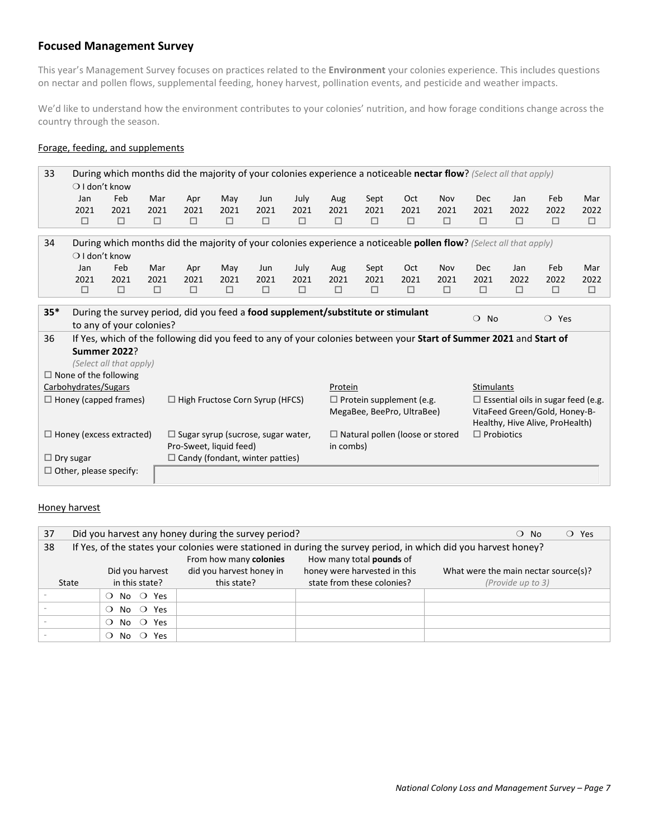# **Focused Management Survey**

This year's Management Survey focuses on practices related to the **Environment** your colonies experience. This includes questions on nectar and pollen flows, supplemental feeding, honey harvest, pollination events, and pesticide and weather impacts.

We'd like to understand how the environment contributes to your colonies' nutrition, and how forage conditions change across the country through the season.

### Forage, feeding, and supplements

| 33    | During which months did the majority of your colonies experience a noticeable nectar flow? (Select all that apply) |                                                                                                                    |        |        |                                           |      |        |                                 |                                        |        |        |                                           |        |                                 |        |
|-------|--------------------------------------------------------------------------------------------------------------------|--------------------------------------------------------------------------------------------------------------------|--------|--------|-------------------------------------------|------|--------|---------------------------------|----------------------------------------|--------|--------|-------------------------------------------|--------|---------------------------------|--------|
|       | $\bigcirc$ I don't know                                                                                            |                                                                                                                    |        |        |                                           |      |        |                                 |                                        |        |        |                                           |        |                                 |        |
|       | Jan                                                                                                                | Feb                                                                                                                | Mar    | Apr    | May                                       | Jun  | July   | Aug                             | Sept                                   | Oct    | Nov    | Dec                                       | Jan    | Feb                             | Mar    |
|       | 2021                                                                                                               | 2021                                                                                                               | 2021   | 2021   | 2021                                      | 2021 | 2021   | 2021                            | 2021                                   | 2021   | 2021   | 2021                                      | 2022   | 2022                            | 2022   |
|       | $\Box$                                                                                                             | $\Box$                                                                                                             | $\Box$ | $\Box$ | $\Box$                                    | □    | □      | $\Box$                          | $\Box$                                 | $\Box$ | $\Box$ | $\Box$                                    | □      | □                               | $\Box$ |
| 34    | During which months did the majority of your colonies experience a noticeable pollen flow? (Select all that apply) |                                                                                                                    |        |        |                                           |      |        |                                 |                                        |        |        |                                           |        |                                 |        |
|       | $\bigcirc$ I don't know                                                                                            |                                                                                                                    |        |        |                                           |      |        |                                 |                                        |        |        |                                           |        |                                 |        |
|       | Jan                                                                                                                | Feb                                                                                                                | Mar    | Apr    | May                                       | Jun  | July   | Aug                             | Sept                                   | Oct    | Nov    | Dec                                       | Jan    | Feb                             | Mar    |
|       | 2021                                                                                                               | 2021                                                                                                               | 2021   | 2021   | 2021                                      | 2021 | 2021   | 2021                            | 2021                                   | 2021   | 2021   | 2021                                      | 2022   | 2022                            | 2022   |
|       | $\Box$                                                                                                             | $\Box$                                                                                                             | $\Box$ | $\Box$ | $\Box$                                    | □    | $\Box$ | $\Box$                          | $\Box$                                 | $\Box$ | $\Box$ | □                                         | $\Box$ | $\Box$                          | $\Box$ |
|       | During the survey period, did you feed a food supplement/substitute or stimulant                                   |                                                                                                                    |        |        |                                           |      |        |                                 |                                        |        |        |                                           |        |                                 |        |
| $35*$ |                                                                                                                    |                                                                                                                    |        |        |                                           |      |        |                                 |                                        |        |        | No<br>$\circ$                             |        | $\bigcirc$ Yes                  |        |
|       |                                                                                                                    | to any of your colonies?                                                                                           |        |        |                                           |      |        |                                 |                                        |        |        |                                           |        |                                 |        |
| 36    |                                                                                                                    | If Yes, which of the following did you feed to any of your colonies between your Start of Summer 2021 and Start of |        |        |                                           |      |        |                                 |                                        |        |        |                                           |        |                                 |        |
|       |                                                                                                                    | <b>Summer 2022?</b>                                                                                                |        |        |                                           |      |        |                                 |                                        |        |        |                                           |        |                                 |        |
|       |                                                                                                                    | (Select all that apply)                                                                                            |        |        |                                           |      |        |                                 |                                        |        |        |                                           |        |                                 |        |
|       |                                                                                                                    | $\Box$ None of the following                                                                                       |        |        |                                           |      |        |                                 |                                        |        |        |                                           |        |                                 |        |
|       | Carbohydrates/Sugars                                                                                               |                                                                                                                    |        |        |                                           |      |        | Protein                         |                                        |        |        | Stimulants                                |        |                                 |        |
|       |                                                                                                                    | $\Box$ Honey (capped frames)                                                                                       |        |        | $\Box$ High Fructose Corn Syrup (HFCS)    |      |        | $\Box$ Protein supplement (e.g. |                                        |        |        | $\Box$ Essential oils in sugar feed (e.g. |        |                                 |        |
|       |                                                                                                                    |                                                                                                                    |        |        |                                           |      |        |                                 | MegaBee, BeePro, UltraBee)             |        |        |                                           |        | VitaFeed Green/Gold, Honey-B-   |        |
|       |                                                                                                                    |                                                                                                                    |        |        |                                           |      |        |                                 |                                        |        |        | $\Box$ Probiotics                         |        | Healthy, Hive Alive, ProHealth) |        |
|       |                                                                                                                    | $\Box$ Honey (excess extracted)                                                                                    |        |        | $\Box$ Sugar syrup (sucrose, sugar water, |      |        |                                 | $\Box$ Natural pollen (loose or stored |        |        |                                           |        |                                 |        |
|       | $\Box$ Dry sugar                                                                                                   |                                                                                                                    |        |        | Pro-Sweet, liquid feed)                   |      |        | in combs)                       |                                        |        |        |                                           |        |                                 |        |
|       |                                                                                                                    |                                                                                                                    |        |        | $\Box$ Candy (fondant, winter patties)    |      |        |                                 |                                        |        |        |                                           |        |                                 |        |
|       |                                                                                                                    | $\Box$ Other, please specify:                                                                                      |        |        |                                           |      |        |                                 |                                        |        |        |                                           |        |                                 |        |

# Honey harvest

| 37                                                 | Did you harvest any honey during the survey period?<br>$\overline{O}$ Yes<br>$\bigcirc$ No                      |                                      |                            |                   |  |  |  |  |  |  |
|----------------------------------------------------|-----------------------------------------------------------------------------------------------------------------|--------------------------------------|----------------------------|-------------------|--|--|--|--|--|--|
| 38                                                 | If Yes, of the states your colonies were stationed in during the survey period, in which did you harvest honey? |                                      |                            |                   |  |  |  |  |  |  |
| How many total pounds of<br>From how many colonies |                                                                                                                 |                                      |                            |                   |  |  |  |  |  |  |
|                                                    | Did you harvest                                                                                                 | What were the main nectar source(s)? |                            |                   |  |  |  |  |  |  |
| State                                              | in this state?                                                                                                  | this state?                          | state from these colonies? | (Provide up to 3) |  |  |  |  |  |  |
|                                                    | No $\bigcirc$ Yes<br>$\Omega$                                                                                   |                                      |                            |                   |  |  |  |  |  |  |
|                                                    | No $\circ$ Yes<br>$\Omega$                                                                                      |                                      |                            |                   |  |  |  |  |  |  |
|                                                    | No $\bigcirc$ Yes                                                                                               |                                      |                            |                   |  |  |  |  |  |  |
|                                                    | Yes<br>No.<br>$\circ$                                                                                           |                                      |                            |                   |  |  |  |  |  |  |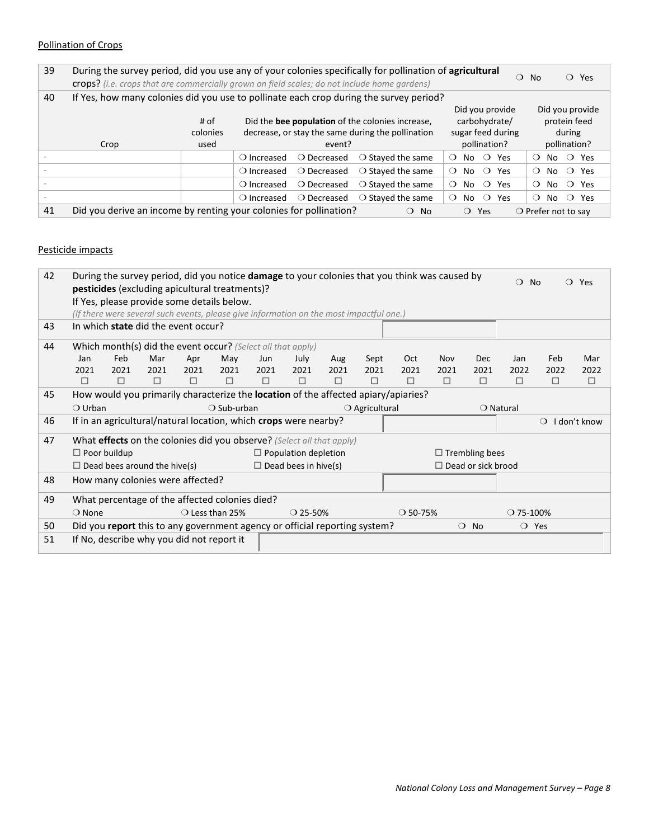### Pollination of Crops

| 39 | During the survey period, did you use any of your colonies specifically for pollination of agricultural                                |          |                                                   |                      |                            |                                   | $\bigcirc$ No<br>$\circ$ Yes      |  |  |
|----|----------------------------------------------------------------------------------------------------------------------------------------|----------|---------------------------------------------------|----------------------|----------------------------|-----------------------------------|-----------------------------------|--|--|
|    | crops? (i.e. crops that are commercially grown on field scales; do not include home gardens)                                           |          |                                                   |                      |                            |                                   |                                   |  |  |
| 40 | If Yes, how many colonies did you use to pollinate each crop during the survey period?                                                 |          |                                                   |                      |                            |                                   |                                   |  |  |
|    |                                                                                                                                        |          |                                                   |                      |                            | Did you provide                   | Did you provide                   |  |  |
|    |                                                                                                                                        | # of     | Did the bee population of the colonies increase,  |                      |                            | carbohydrate/                     | protein feed                      |  |  |
|    |                                                                                                                                        | colonies | decrease, or stay the same during the pollination |                      |                            | sugar feed during                 | during                            |  |  |
|    | Crop                                                                                                                                   | used     | event?                                            |                      |                            | pollination?                      | pollination?                      |  |  |
|    |                                                                                                                                        |          | $\bigcirc$ Increased                              | $\bigcirc$ Decreased | $\bigcirc$ Stayed the same | No $\bigcirc$ Yes<br>$\Omega$     | $\bigcirc$ Yes<br>$\Omega$<br>No. |  |  |
|    |                                                                                                                                        |          | $\bigcirc$ Increased                              | $\bigcirc$ Decreased | $\bigcirc$ Stayed the same | No $\bigcirc$ Yes<br>$\Omega$     | $\bigcirc$ Yes<br>No.<br>$\Omega$ |  |  |
|    |                                                                                                                                        |          | $\bigcirc$ Increased                              | $\bigcirc$ Decreased | $\bigcirc$ Stayed the same | $\circ$<br>No<br>Yes<br>$\Omega$  | $\bigcirc$ Yes<br>No.<br>$\Omega$ |  |  |
|    |                                                                                                                                        |          | $\bigcirc$ Increased                              | ○ Decreased          | $\bigcirc$ Stayed the same | $\circ$<br>No.<br>Yes<br>$\Omega$ | $\bigcirc$ Yes<br>$\Omega$<br>No. |  |  |
| 41 | Did you derive an income by renting your colonies for pollination?<br>$\bigcirc$ Prefer not to say<br>$\bigcirc$ No<br>$\Omega$<br>Yes |          |                                                   |                      |                            |                                   |                                   |  |  |

#### Pesticide impacts

| 42 | During the survey period, did you notice <b>damage</b> to your colonies that you think was caused by<br><b>pesticides</b> (excluding apicultural treatments)? |                                                                                         |                                           |        |                                                                            |      |                             |      |                         |                                                                                    | $\Omega$   | <b>No</b>                 | $\bigcirc$ Yes     |                         |        |
|----|---------------------------------------------------------------------------------------------------------------------------------------------------------------|-----------------------------------------------------------------------------------------|-------------------------------------------|--------|----------------------------------------------------------------------------|------|-----------------------------|------|-------------------------|------------------------------------------------------------------------------------|------------|---------------------------|--------------------|-------------------------|--------|
|    | If Yes, please provide some details below.                                                                                                                    |                                                                                         |                                           |        |                                                                            |      |                             |      |                         |                                                                                    |            |                           |                    |                         |        |
|    |                                                                                                                                                               | (If there were several such events, please give information on the most impactful one.) |                                           |        |                                                                            |      |                             |      |                         |                                                                                    |            |                           |                    |                         |        |
| 43 |                                                                                                                                                               | In which state did the event occur?                                                     |                                           |        |                                                                            |      |                             |      |                         |                                                                                    |            |                           |                    |                         |        |
| 44 |                                                                                                                                                               |                                                                                         |                                           |        | Which month(s) did the event occur? (Select all that apply)                |      |                             |      |                         |                                                                                    |            |                           |                    |                         |        |
|    | Jan                                                                                                                                                           | Feb                                                                                     | Mar                                       | Apr    | May                                                                        | Jun  | July                        | Aug  | Sept                    | Oct                                                                                | <b>Nov</b> | Dec                       | Jan                | Feb                     | Mar    |
|    | 2021                                                                                                                                                          | 2021                                                                                    | 2021                                      | 2021   | 2021                                                                       | 2021 | 2021                        | 2021 | 2021                    | 2021                                                                               | 2021       | 2021                      | 2022               | 2022                    | 2022   |
|    | □                                                                                                                                                             | □                                                                                       | $\Box$                                    | $\Box$ | □                                                                          | □    | □                           | □    | □                       | □                                                                                  | □          | □                         | п                  | $\Box$                  | $\Box$ |
| 45 |                                                                                                                                                               |                                                                                         |                                           |        |                                                                            |      |                             |      |                         | How would you primarily characterize the location of the affected apiary/apiaries? |            |                           |                    |                         |        |
|    | $\bigcirc$ Urban                                                                                                                                              |                                                                                         |                                           |        | $\bigcirc$ Sub-urban                                                       |      |                             |      | $\bigcirc$ Agricultural |                                                                                    |            |                           | $\bigcirc$ Natural |                         |        |
| 46 |                                                                                                                                                               |                                                                                         |                                           |        | If in an agricultural/natural location, which crops were nearby?           |      |                             |      |                         |                                                                                    |            |                           |                    | $\bigcirc$ I don't know |        |
| 47 |                                                                                                                                                               |                                                                                         |                                           |        | What effects on the colonies did you observe? (Select all that apply)      |      |                             |      |                         |                                                                                    |            |                           |                    |                         |        |
|    |                                                                                                                                                               | $\Box$ Poor buildup                                                                     |                                           |        |                                                                            |      | $\Box$ Population depletion |      |                         |                                                                                    |            | $\Box$ Trembling bees     |                    |                         |        |
|    |                                                                                                                                                               |                                                                                         | $\Box$ Dead bees around the hive(s)       |        |                                                                            |      | $\Box$ Dead bees in hive(s) |      |                         |                                                                                    |            | $\Box$ Dead or sick brood |                    |                         |        |
| 48 |                                                                                                                                                               |                                                                                         | How many colonies were affected?          |        |                                                                            |      |                             |      |                         |                                                                                    |            |                           |                    |                         |        |
| 49 |                                                                                                                                                               |                                                                                         |                                           |        | What percentage of the affected colonies died?                             |      |                             |      |                         |                                                                                    |            |                           |                    |                         |        |
|    | $\bigcirc$ None                                                                                                                                               |                                                                                         |                                           |        | $\bigcirc$ Less than 25%                                                   |      | $\bigcirc$ 25-50%           |      |                         | $O$ 50-75%                                                                         |            |                           | $\bigcirc$ 75-100% |                         |        |
| 50 |                                                                                                                                                               |                                                                                         |                                           |        | Did you report this to any government agency or official reporting system? |      |                             |      |                         |                                                                                    |            | $\bigcirc$ No             | $\bigcirc$ Yes     |                         |        |
| 51 |                                                                                                                                                               |                                                                                         | If No, describe why you did not report it |        |                                                                            |      |                             |      |                         |                                                                                    |            |                           |                    |                         |        |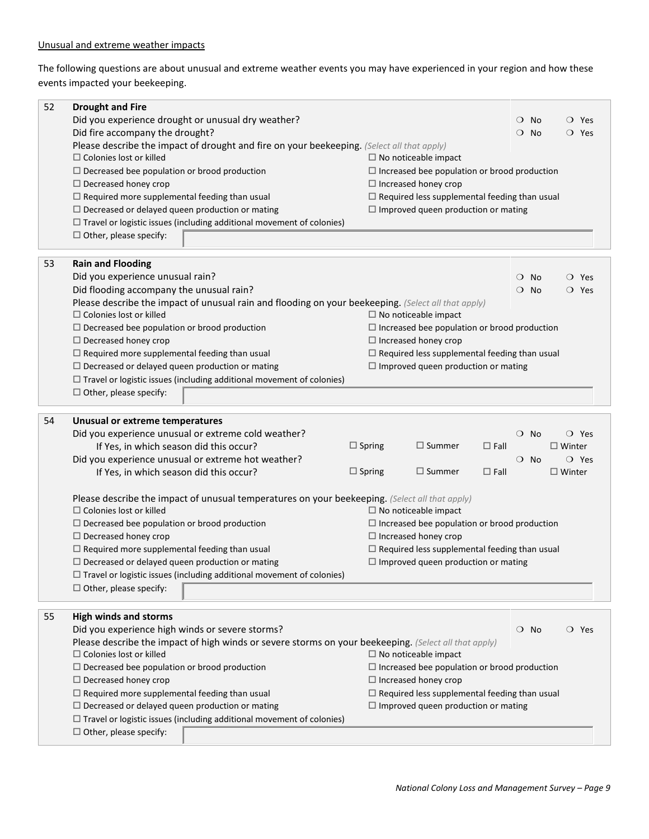The following questions are about unusual and extreme weather events you may have experienced in your region and how these events impacted your beekeeping.

| 52 | <b>Drought and Fire</b>                                                                                                                 |               |                                                      |             |               |           |               |                |  |  |
|----|-----------------------------------------------------------------------------------------------------------------------------------------|---------------|------------------------------------------------------|-------------|---------------|-----------|---------------|----------------|--|--|
|    | Did you experience drought or unusual dry weather?                                                                                      |               | $\bigcirc$ Yes<br>$\circ$ No                         |             |               |           |               |                |  |  |
|    | Did fire accompany the drought?                                                                                                         |               | $\circ$<br><b>No</b><br>$\bigcirc$ Yes               |             |               |           |               |                |  |  |
|    | Please describe the impact of drought and fire on your beekeeping. (Select all that apply)                                              |               |                                                      |             |               |           |               |                |  |  |
|    | $\Box$ Colonies lost or killed                                                                                                          |               | $\Box$ No noticeable impact                          |             |               |           |               |                |  |  |
|    | $\Box$ Decreased bee population or brood production                                                                                     |               | $\Box$ Increased bee population or brood production  |             |               |           |               |                |  |  |
|    | $\Box$ Decreased honey crop                                                                                                             |               | $\Box$ Increased honey crop                          |             |               |           |               |                |  |  |
|    | $\Box$ Required more supplemental feeding than usual                                                                                    |               | $\Box$ Required less supplemental feeding than usual |             |               |           |               |                |  |  |
|    | $\Box$ Decreased or delayed queen production or mating                                                                                  |               | $\Box$ Improved queen production or mating           |             |               |           |               |                |  |  |
|    | $\Box$ Travel or logistic issues (including additional movement of colonies)<br>$\Box$ Other, please specify:                           |               |                                                      |             |               |           |               |                |  |  |
|    |                                                                                                                                         |               |                                                      |             |               |           |               |                |  |  |
| 53 | <b>Rain and Flooding</b>                                                                                                                |               |                                                      |             |               |           |               |                |  |  |
|    | Did you experience unusual rain?                                                                                                        |               |                                                      |             | $\bigcirc$ No |           |               | $\bigcirc$ Yes |  |  |
|    | Did flooding accompany the unusual rain?                                                                                                |               |                                                      |             | $\circ$       | No        |               | $\bigcirc$ Yes |  |  |
|    | Please describe the impact of unusual rain and flooding on your beekeeping. (Select all that apply)                                     |               |                                                      |             |               |           |               |                |  |  |
|    | $\Box$ Colonies lost or killed                                                                                                          |               | $\Box$ No noticeable impact                          |             |               |           |               |                |  |  |
|    | $\Box$ Decreased bee population or brood production                                                                                     |               | $\Box$ Increased bee population or brood production  |             |               |           |               |                |  |  |
|    | $\Box$ Decreased honey crop                                                                                                             |               | $\Box$ Increased honey crop                          |             |               |           |               |                |  |  |
|    | $\Box$ Required more supplemental feeding than usual                                                                                    |               | $\Box$ Required less supplemental feeding than usual |             |               |           |               |                |  |  |
|    | $\Box$ Decreased or delayed queen production or mating                                                                                  |               | $\Box$ Improved queen production or mating           |             |               |           |               |                |  |  |
|    | $\Box$ Travel or logistic issues (including additional movement of colonies)                                                            |               |                                                      |             |               |           |               |                |  |  |
|    | $\Box$ Other, please specify:                                                                                                           |               |                                                      |             |               |           |               |                |  |  |
|    |                                                                                                                                         |               |                                                      |             |               |           |               |                |  |  |
| 54 |                                                                                                                                         |               |                                                      |             |               |           |               |                |  |  |
|    | Unusual or extreme temperatures                                                                                                         |               |                                                      |             | $\circ$       | <b>No</b> |               | $\bigcirc$ Yes |  |  |
|    | Did you experience unusual or extreme cold weather?<br>If Yes, in which season did this occur?                                          | $\Box$ Spring | $\Box$ Summer                                        | $\Box$ Fall |               |           | $\Box$ Winter |                |  |  |
|    | Did you experience unusual or extreme hot weather?                                                                                      |               |                                                      |             | $\bigcirc$ No |           |               | $\bigcirc$ Yes |  |  |
|    | If Yes, in which season did this occur?                                                                                                 | $\Box$ Spring | $\Box$ Summer                                        | $\Box$ Fall |               |           | $\Box$ Winter |                |  |  |
|    |                                                                                                                                         |               |                                                      |             |               |           |               |                |  |  |
|    | Please describe the impact of unusual temperatures on your beekeeping. (Select all that apply)<br>$\Box$ Colonies lost or killed        |               | $\Box$ No noticeable impact                          |             |               |           |               |                |  |  |
|    | $\Box$ Decreased bee population or brood production                                                                                     |               | $\Box$ Increased bee population or brood production  |             |               |           |               |                |  |  |
|    | $\Box$ Decreased honey crop                                                                                                             |               | $\Box$ Increased honey crop                          |             |               |           |               |                |  |  |
|    | $\Box$ Required more supplemental feeding than usual                                                                                    |               | $\Box$ Required less supplemental feeding than usual |             |               |           |               |                |  |  |
|    | $\Box$ Decreased or delayed queen production or mating                                                                                  |               | $\Box$ Improved queen production or mating           |             |               |           |               |                |  |  |
|    | $\Box$ Travel or logistic issues (including additional movement of colonies)                                                            |               |                                                      |             |               |           |               |                |  |  |
|    | $\Box$ Other, please specify:                                                                                                           |               |                                                      |             |               |           |               |                |  |  |
|    |                                                                                                                                         |               |                                                      |             |               |           |               |                |  |  |
| 55 | <b>High winds and storms</b>                                                                                                            |               |                                                      |             |               |           |               |                |  |  |
|    | Did you experience high winds or severe storms?                                                                                         |               |                                                      |             | $\circ$ No    |           |               | $\bigcirc$ Yes |  |  |
|    | Please describe the impact of high winds or severe storms on your beekeeping. (Select all that apply)<br>$\Box$ Colonies lost or killed |               | $\Box$ No noticeable impact                          |             |               |           |               |                |  |  |
|    | $\Box$ Decreased bee population or brood production                                                                                     |               | $\Box$ Increased bee population or brood production  |             |               |           |               |                |  |  |
|    | $\Box$ Decreased honey crop                                                                                                             |               | $\Box$ Increased honey crop                          |             |               |           |               |                |  |  |
|    | $\Box$ Required more supplemental feeding than usual                                                                                    |               | $\Box$ Required less supplemental feeding than usual |             |               |           |               |                |  |  |
|    | $\Box$ Decreased or delayed queen production or mating                                                                                  |               | $\Box$ Improved queen production or mating           |             |               |           |               |                |  |  |

 $\square$  Other, please specify: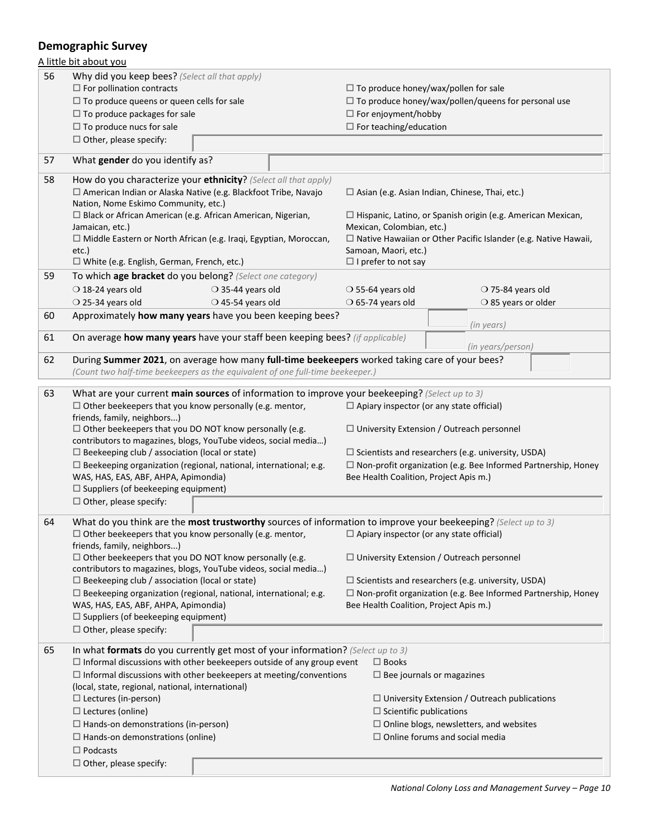# **Demographic Survey**

|    | A little bit about you                                                                                                                                                                                                           |                                                                      |                                                                       |  |  |  |  |  |
|----|----------------------------------------------------------------------------------------------------------------------------------------------------------------------------------------------------------------------------------|----------------------------------------------------------------------|-----------------------------------------------------------------------|--|--|--|--|--|
| 56 | Why did you keep bees? (Select all that apply)<br>$\Box$ For pollination contracts                                                                                                                                               |                                                                      | $\Box$ To produce honey/wax/pollen for sale                           |  |  |  |  |  |
|    | $\Box$ To produce queens or queen cells for sale                                                                                                                                                                                 | $\Box$ To produce honey/wax/pollen/queens for personal use           |                                                                       |  |  |  |  |  |
|    | $\Box$ To produce packages for sale                                                                                                                                                                                              | $\Box$ For enjoyment/hobby                                           |                                                                       |  |  |  |  |  |
|    | $\Box$ To produce nucs for sale                                                                                                                                                                                                  | $\Box$ For teaching/education                                        |                                                                       |  |  |  |  |  |
|    | $\Box$ Other, please specify:                                                                                                                                                                                                    |                                                                      |                                                                       |  |  |  |  |  |
| 57 | What gender do you identify as?                                                                                                                                                                                                  |                                                                      |                                                                       |  |  |  |  |  |
| 58 | How do you characterize your ethnicity? (Select all that apply)<br>□ American Indian or Alaska Native (e.g. Blackfoot Tribe, Navajo                                                                                              | $\Box$ Asian (e.g. Asian Indian, Chinese, Thai, etc.)                |                                                                       |  |  |  |  |  |
|    | Nation, Nome Eskimo Community, etc.)                                                                                                                                                                                             |                                                                      |                                                                       |  |  |  |  |  |
|    | $\Box$ Black or African American (e.g. African American, Nigerian,                                                                                                                                                               |                                                                      | $\Box$ Hispanic, Latino, or Spanish origin (e.g. American Mexican,    |  |  |  |  |  |
|    | Jamaican, etc.)                                                                                                                                                                                                                  | Mexican, Colombian, etc.)                                            |                                                                       |  |  |  |  |  |
|    | □ Middle Eastern or North African (e.g. Iraqi, Egyptian, Moroccan,<br>etc.)                                                                                                                                                      |                                                                      | $\Box$ Native Hawaiian or Other Pacific Islander (e.g. Native Hawaii, |  |  |  |  |  |
|    | $\Box$ White (e.g. English, German, French, etc.)                                                                                                                                                                                | Samoan, Maori, etc.)<br>$\Box$ I prefer to not say                   |                                                                       |  |  |  |  |  |
| 59 | To which age bracket do you belong? (Select one category)                                                                                                                                                                        |                                                                      |                                                                       |  |  |  |  |  |
|    | $\bigcirc$ 35-44 years old                                                                                                                                                                                                       |                                                                      |                                                                       |  |  |  |  |  |
|    | $\bigcirc$ 18-24 years old<br>$\bigcirc$ 45-54 years old                                                                                                                                                                         | $\bigcirc$ 55-64 years old                                           | $\bigcirc$ 75-84 years old                                            |  |  |  |  |  |
|    | $\bigcirc$ 25-34 years old<br>Approximately how many years have you been keeping bees?                                                                                                                                           | $\bigcirc$ 65-74 years old                                           | $\bigcirc$ 85 years or older                                          |  |  |  |  |  |
| 60 |                                                                                                                                                                                                                                  |                                                                      | (in years)                                                            |  |  |  |  |  |
| 61 | On average how many years have your staff been keeping bees? (if applicable)                                                                                                                                                     |                                                                      | (in years/person)                                                     |  |  |  |  |  |
| 62 | During Summer 2021, on average how many full-time beekeepers worked taking care of your bees?                                                                                                                                    |                                                                      |                                                                       |  |  |  |  |  |
|    | (Count two half-time beekeepers as the equivalent of one full-time beekeeper.)                                                                                                                                                   |                                                                      |                                                                       |  |  |  |  |  |
|    |                                                                                                                                                                                                                                  |                                                                      |                                                                       |  |  |  |  |  |
| 63 | What are your current main sources of information to improve your beekeeping? (Select up to 3)                                                                                                                                   |                                                                      |                                                                       |  |  |  |  |  |
|    | $\Box$ Other beekeepers that you know personally (e.g. mentor,                                                                                                                                                                   |                                                                      | $\Box$ Apiary inspector (or any state official)                       |  |  |  |  |  |
|    | friends, family, neighbors)                                                                                                                                                                                                      |                                                                      |                                                                       |  |  |  |  |  |
|    | $\Box$ Other beekeepers that you DO NOT know personally (e.g.<br>contributors to magazines, blogs, YouTube videos, social media)                                                                                                 | $\Box$ University Extension / Outreach personnel                     |                                                                       |  |  |  |  |  |
|    | $\Box$ Beekeeping club / association (local or state)                                                                                                                                                                            | $\square$ Scientists and researchers (e.g. university, USDA)         |                                                                       |  |  |  |  |  |
|    | $\Box$ Beekeeping organization (regional, national, international; e.g.                                                                                                                                                          | $\Box$ Non-profit organization (e.g. Bee Informed Partnership, Honey |                                                                       |  |  |  |  |  |
|    | WAS, HAS, EAS, ABF, AHPA, Apimondia)                                                                                                                                                                                             | Bee Health Coalition, Project Apis m.)                               |                                                                       |  |  |  |  |  |
|    | $\Box$ Suppliers (of beekeeping equipment)                                                                                                                                                                                       |                                                                      |                                                                       |  |  |  |  |  |
|    | $\Box$ Other, please specify:                                                                                                                                                                                                    |                                                                      |                                                                       |  |  |  |  |  |
|    |                                                                                                                                                                                                                                  |                                                                      |                                                                       |  |  |  |  |  |
| 64 | What do you think are the most trustworthy sources of information to improve your beekeeping? (Select up to 3)<br>$\Box$ Other beekeepers that you know personally (e.g. mentor, $\Box$ Apiary inspector (or any state official) |                                                                      |                                                                       |  |  |  |  |  |
|    | friends, family, neighbors)                                                                                                                                                                                                      |                                                                      |                                                                       |  |  |  |  |  |
|    | $\Box$ Other beekeepers that you DO NOT know personally (e.g.<br>contributors to magazines, blogs, YouTube videos, social media)                                                                                                 |                                                                      | $\Box$ University Extension / Outreach personnel                      |  |  |  |  |  |
|    | $\Box$ Beekeeping club / association (local or state)                                                                                                                                                                            |                                                                      | $\Box$ Scientists and researchers (e.g. university, USDA)             |  |  |  |  |  |
|    | $\Box$ Beekeeping organization (regional, national, international; e.g.                                                                                                                                                          | $\Box$ Non-profit organization (e.g. Bee Informed Partnership, Honey |                                                                       |  |  |  |  |  |
|    | WAS, HAS, EAS, ABF, AHPA, Apimondia)                                                                                                                                                                                             | Bee Health Coalition, Project Apis m.)                               |                                                                       |  |  |  |  |  |
|    | $\Box$ Suppliers (of beekeeping equipment)                                                                                                                                                                                       |                                                                      |                                                                       |  |  |  |  |  |
|    | $\Box$ Other, please specify:                                                                                                                                                                                                    |                                                                      |                                                                       |  |  |  |  |  |
|    |                                                                                                                                                                                                                                  |                                                                      |                                                                       |  |  |  |  |  |
| 65 | In what formats do you currently get most of your information? (Select up to 3)                                                                                                                                                  |                                                                      |                                                                       |  |  |  |  |  |
|    | $\Box$ Informal discussions with other beekeepers outside of any group event                                                                                                                                                     | $\Box$ Books                                                         |                                                                       |  |  |  |  |  |
|    | $\Box$ Informal discussions with other beekeepers at meeting/conventions                                                                                                                                                         |                                                                      | $\Box$ Bee journals or magazines                                      |  |  |  |  |  |
|    | (local, state, regional, national, international)<br>$\Box$ Lectures (in-person)                                                                                                                                                 |                                                                      | $\Box$ University Extension / Outreach publications                   |  |  |  |  |  |
|    | $\Box$ Lectures (online)                                                                                                                                                                                                         |                                                                      | $\Box$ Scientific publications                                        |  |  |  |  |  |
|    | $\Box$ Hands-on demonstrations (in-person)                                                                                                                                                                                       |                                                                      | $\Box$ Online blogs, newsletters, and websites                        |  |  |  |  |  |
|    | $\Box$ Hands-on demonstrations (online)                                                                                                                                                                                          |                                                                      | $\Box$ Online forums and social media                                 |  |  |  |  |  |
|    | $\Box$ Podcasts                                                                                                                                                                                                                  |                                                                      |                                                                       |  |  |  |  |  |
|    | $\Box$ Other, please specify:                                                                                                                                                                                                    |                                                                      |                                                                       |  |  |  |  |  |
|    |                                                                                                                                                                                                                                  |                                                                      |                                                                       |  |  |  |  |  |